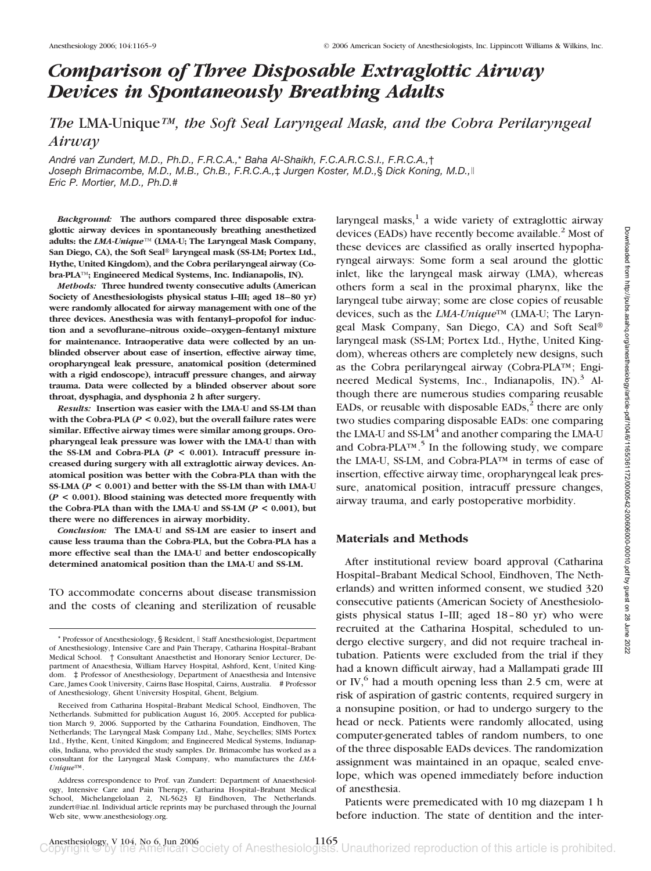# *Comparison of Three Disposable Extraglottic Airway Devices in Spontaneously Breathing Adults*

*The* LMA-Unique*™, the Soft Seal Laryngeal Mask, and the Cobra Perilaryngeal Airway*

*Andre´ van Zundert, M.D., Ph.D., F.R.C.A.,*\* *Baha Al-Shaikh, F.C.A.R.C.S.I., F.R.C.A.,*† *Joseph Brimacombe, M.D., M.B., Ch.B., F.R.C.A.,*‡ *Jurgen Koster, M.D.,*§ *Dick Koning, M.D., Eric P. Mortier, M.D., Ph.D.*#

*Background:* **The authors compared three disposable extraglottic airway devices in spontaneously breathing anesthetized adults: the** *LMA-Unique***™ (LMA-U; The Laryngeal Mask Company,** San Diego, CA), the Soft Seal<sup>®</sup> laryngeal mask (SS-LM; Portex Ltd., **Hythe, United Kingdom), and the Cobra perilaryngeal airway (Cobra-PLA™; Engineered Medical Systems, Inc. Indianapolis, IN).**

*Methods:* **Three hundred twenty consecutive adults (American Society of Anesthesiologists physical status I–III; aged 18–80 yr) were randomly allocated for airway management with one of the three devices. Anesthesia was with fentanyl–propofol for induction and a sevoflurane–nitrous oxide–oxygen–fentanyl mixture for maintenance. Intraoperative data were collected by an unblinded observer about ease of insertion, effective airway time, oropharyngeal leak pressure, anatomical position (determined with a rigid endoscope), intracuff pressure changes, and airway trauma. Data were collected by a blinded observer about sore throat, dysphagia, and dysphonia 2 h after surgery.**

*Results:* **Insertion was easier with the LMA-U and SS-LM than with the Cobra-PLA (***P* **< 0.02), but the overall failure rates were similar. Effective airway times were similar among groups. Oropharyngeal leak pressure was lower with the LMA-U than with the SS-LM and Cobra-PLA (***P* **< 0.001). Intracuff pressure increased during surgery with all extraglottic airway devices. Anatomical position was better with the Cobra-PLA than with the SS-LMA (***P* **< 0.001) and better with the SS-LM than with LMA-U (***P* **< 0.001). Blood staining was detected more frequently with** the Cobra-PLA than with the LMA-U and SS-LM  $(P < 0.001)$ , but **there were no differences in airway morbidity.**

*Conclusion:* **The LMA-U and SS-LM are easier to insert and cause less trauma than the Cobra-PLA, but the Cobra-PLA has a more effective seal than the LMA-U and better endoscopically determined anatomical position than the LMA-U and SS-LM.**

TO accommodate concerns about disease transmission and the costs of cleaning and sterilization of reusable laryngeal masks, $\frac{1}{x}$  a wide variety of extraglottic airway devices (EADs) have recently become available.<sup>2</sup> Most of these devices are classified as orally inserted hypopharyngeal airways: Some form a seal around the glottic inlet, like the laryngeal mask airway (LMA), whereas others form a seal in the proximal pharynx, like the laryngeal tube airway; some are close copies of reusable devices, such as the *LMA-Unique*™ (LMA-U; The Laryngeal Mask Company, San Diego, CA) and Soft Seal laryngeal mask (SS-LM; Portex Ltd., Hythe, United Kingdom), whereas others are completely new designs, such as the Cobra perilaryngeal airway (Cobra-PLA™; Engineered Medical Systems, Inc., Indianapolis, IN $1.3$  Although there are numerous studies comparing reusable EADs, or reusable with disposable EADs, $<sup>2</sup>$  there are only</sup> two studies comparing disposable EADs: one comparing the LMA-U and SS-LM $4$  and another comparing the LMA-U and Cobra-PLA™.5 In the following study, we compare the LMA-U, SS-LM, and Cobra-PLA™ in terms of ease of insertion, effective airway time, oropharyngeal leak pressure, anatomical position, intracuff pressure changes, airway trauma, and early postoperative morbidity.

### **Materials and Methods**

After institutional review board approval (Catharina Hospital–Brabant Medical School, Eindhoven, The Netherlands) and written informed consent, we studied 320 consecutive patients (American Society of Anesthesiologists physical status I–III; aged 18–80 yr) who were recruited at the Catharina Hospital, scheduled to undergo elective surgery, and did not require tracheal intubation. Patients were excluded from the trial if they had a known difficult airway, had a Mallampati grade III or IV, $<sup>6</sup>$  had a mouth opening less than 2.5 cm, were at</sup> risk of aspiration of gastric contents, required surgery in a nonsupine position, or had to undergo surgery to the head or neck. Patients were randomly allocated, using computer-generated tables of random numbers, to one of the three disposable EADs devices. The randomization assignment was maintained in an opaque, sealed envelope, which was opened immediately before induction of anesthesia.

Patients were premedicated with 10 mg diazepam 1 h before induction. The state of dentition and the inter-

<sup>\*</sup> Professor of Anesthesiology, § Resident,  $\parallel$  Staff Anesthesiologist, Department of Anesthesiology, Intensive Care and Pain Therapy, Catharina Hospital–Brabant Medical School. † Consultant Anaesthetist and Honorary Senior Lecturer, Department of Anaesthesia, William Harvey Hospital, Ashford, Kent, United Kingdom. ‡ Professor of Anesthesiology, Department of Anaesthesia and Intensive Care, James Cook University, Cairns Base Hospital, Cairns, Australia. # Professor of Anesthesiology, Ghent University Hospital, Ghent, Belgium.

Received from Catharina Hospital–Brabant Medical School, Eindhoven, The Netherlands. Submitted for publication August 16, 2005. Accepted for publication March 9, 2006. Supported by the Catharina Foundation, Eindhoven, The Netherlands; The Laryngeal Mask Company Ltd., Mahe, Seychelles; SIMS Portex Ltd., Hythe, Kent, United Kingdom; and Engineered Medical Systems, Indianapolis, Indiana, who provided the study samples. Dr. Brimacombe has worked as a consultant for the Laryngeal Mask Company, who manufactures the *LMA-Unique*™.

Address correspondence to Prof. van Zundert: Department of Anaesthesiology, Intensive Care and Pain Therapy, Catharina Hospital–Brabant Medical School, Michelangelolaan 2, NL-5623 EJ Eindhoven, The Netherlands. zundert@iae.nl. Individual article reprints may be purchased through the Journal Web site, www.anesthesiology.org.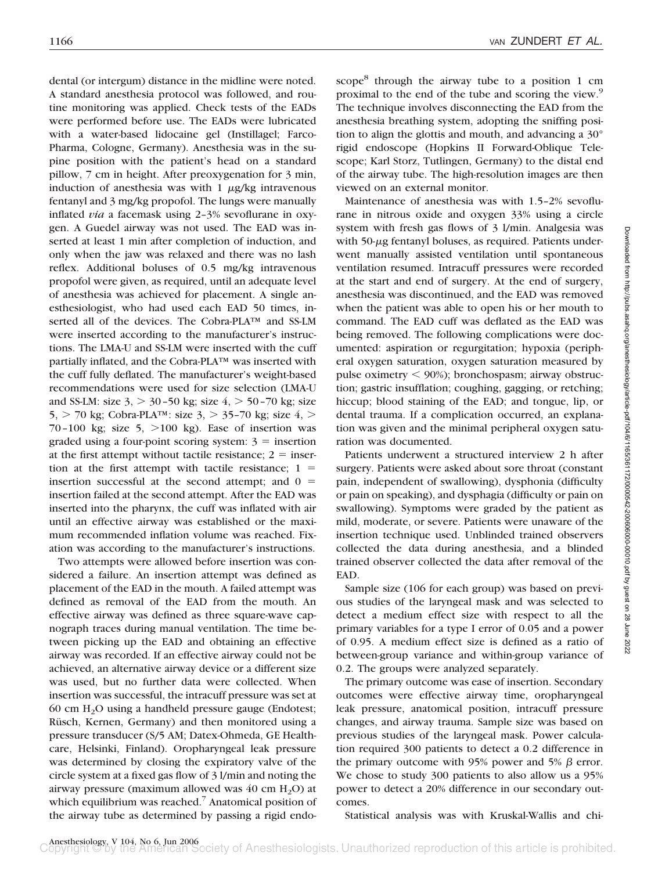dental (or intergum) distance in the midline were noted. A standard anesthesia protocol was followed, and routine monitoring was applied. Check tests of the EADs were performed before use. The EADs were lubricated with a water-based lidocaine gel (Instillagel; Farco-Pharma, Cologne, Germany). Anesthesia was in the supine position with the patient's head on a standard pillow, 7 cm in height. After preoxygenation for 3 min, induction of anesthesia was with  $1 \mu g/kg$  intravenous fentanyl and 3 mg/kg propofol. The lungs were manually inflated *via* a facemask using 2–3% sevoflurane in oxygen. A Guedel airway was not used. The EAD was inserted at least 1 min after completion of induction, and only when the jaw was relaxed and there was no lash reflex. Additional boluses of 0.5 mg/kg intravenous propofol were given, as required, until an adequate level of anesthesia was achieved for placement. A single anesthesiologist, who had used each EAD 50 times, inserted all of the devices. The Cobra-PLA™ and SS-LM were inserted according to the manufacturer's instructions. The LMA-U and SS-LM were inserted with the cuff partially inflated, and the Cobra-PLA™ was inserted with the cuff fully deflated. The manufacturer's weight-based recommendations were used for size selection (LMA-U and SS-LM: size  $3$ ,  $> 30-50$  kg; size  $4$ ,  $> 50-70$  kg; size 5,  $>$  70 kg; Cobra-PLA<sup>TM</sup>: size 3,  $>$  35–70 kg; size 4,  $>$ 70–100 kg; size  $5, >100$  kg). Ease of insertion was graded using a four-point scoring system:  $3 =$  insertion at the first attempt without tactile resistance;  $2 =$  insertion at the first attempt with tactile resistance;  $1 =$ insertion successful at the second attempt; and  $0 =$ insertion failed at the second attempt. After the EAD was inserted into the pharynx, the cuff was inflated with air until an effective airway was established or the maximum recommended inflation volume was reached. Fixation was according to the manufacturer's instructions.

Two attempts were allowed before insertion was considered a failure. An insertion attempt was defined as placement of the EAD in the mouth. A failed attempt was defined as removal of the EAD from the mouth. An effective airway was defined as three square-wave capnograph traces during manual ventilation. The time between picking up the EAD and obtaining an effective airway was recorded. If an effective airway could not be achieved, an alternative airway device or a different size was used, but no further data were collected. When insertion was successful, the intracuff pressure was set at 60 cm H2O using a handheld pressure gauge (Endotest; Rüsch, Kernen, Germany) and then monitored using a pressure transducer (S/5 AM; Datex-Ohmeda, GE Healthcare, Helsinki, Finland). Oropharyngeal leak pressure was determined by closing the expiratory valve of the circle system at a fixed gas flow of 3 l/min and noting the airway pressure (maximum allowed was  $40 \text{ cm H}_2\text{O}$ ) at which equilibrium was reached.<sup>7</sup> Anatomical position of the airway tube as determined by passing a rigid endoscope $8$  through the airway tube to a position 1 cm proximal to the end of the tube and scoring the view.<sup>9</sup> The technique involves disconnecting the EAD from the anesthesia breathing system, adopting the sniffing position to align the glottis and mouth, and advancing a 30° rigid endoscope (Hopkins II Forward-Oblique Telescope; Karl Storz, Tutlingen, Germany) to the distal end of the airway tube. The high-resolution images are then viewed on an external monitor.

Maintenance of anesthesia was with 1.5–2% sevoflurane in nitrous oxide and oxygen 33% using a circle system with fresh gas flows of 3 l/min. Analgesia was with  $50$ - $\mu$ g fentanyl boluses, as required. Patients underwent manually assisted ventilation until spontaneous ventilation resumed. Intracuff pressures were recorded at the start and end of surgery. At the end of surgery, anesthesia was discontinued, and the EAD was removed when the patient was able to open his or her mouth to command. The EAD cuff was deflated as the EAD was being removed. The following complications were documented: aspiration or regurgitation; hypoxia (peripheral oxygen saturation, oxygen saturation measured by pulse oximetry  $\leq 90\%$ ; bronchospasm; airway obstruction; gastric insufflation; coughing, gagging, or retching; hiccup; blood staining of the EAD; and tongue, lip, or dental trauma. If a complication occurred, an explanation was given and the minimal peripheral oxygen saturation was documented.

Patients underwent a structured interview 2 h after surgery. Patients were asked about sore throat (constant pain, independent of swallowing), dysphonia (difficulty or pain on speaking), and dysphagia (difficulty or pain on swallowing). Symptoms were graded by the patient as mild, moderate, or severe. Patients were unaware of the insertion technique used. Unblinded trained observers collected the data during anesthesia, and a blinded trained observer collected the data after removal of the EAD.

Sample size (106 for each group) was based on previous studies of the laryngeal mask and was selected to detect a medium effect size with respect to all the primary variables for a type I error of 0.05 and a power of 0.95. A medium effect size is defined as a ratio of between-group variance and within-group variance of 0.2. The groups were analyzed separately.

The primary outcome was ease of insertion. Secondary outcomes were effective airway time, oropharyngeal leak pressure, anatomical position, intracuff pressure changes, and airway trauma. Sample size was based on previous studies of the laryngeal mask. Power calculation required 300 patients to detect a 0.2 difference in the primary outcome with 95% power and 5%  $\beta$  error. We chose to study 300 patients to also allow us a 95% power to detect a 20% difference in our secondary outcomes.

Statistical analysis was with Kruskal-Wallis and chi-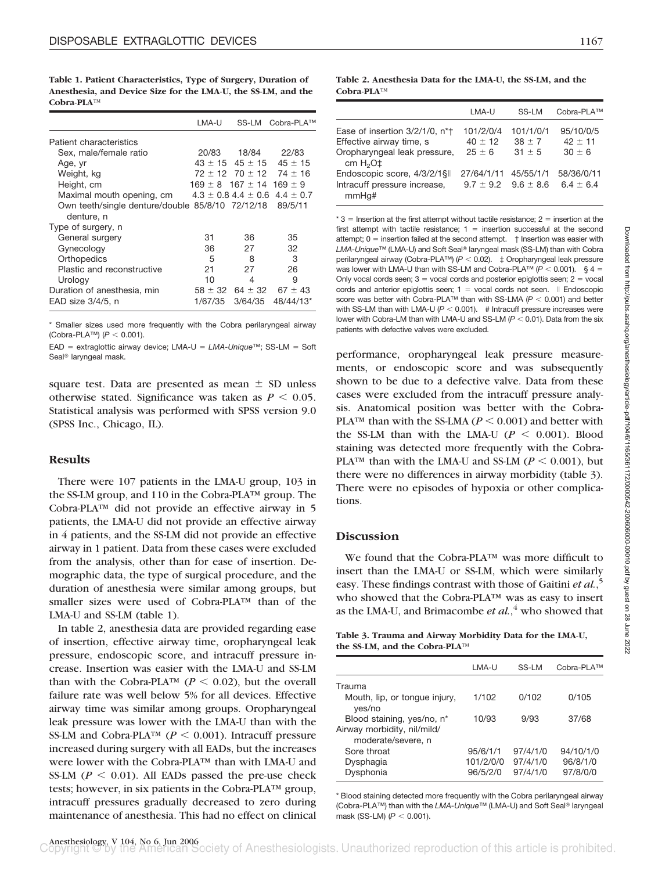**Table 1. Patient Characteristics, Type of Surgery, Duration of Anesthesia, and Device Size for the LMA-U, the SS-LM, and the Cobra-PLA™**

|                                                  | LMA-U       | SS-LM                                | Cobra-PLA™                          |
|--------------------------------------------------|-------------|--------------------------------------|-------------------------------------|
| Patient characteristics                          |             |                                      |                                     |
| Sex, male/female ratio                           | 20/83       | 18/84                                | 22/83                               |
| Age, yr                                          | $43 \pm 15$ | $45 \pm 15$                          | $45 \pm 15$                         |
| Weight, kg                                       |             |                                      | $72 \pm 12$ 70 $\pm$ 12 74 $\pm$ 16 |
| Height, cm                                       |             | $169 \pm 8$ 167 $\pm$ 14 169 $\pm$ 9 |                                     |
| Maximal mouth opening, cm                        |             | $4.3 \pm 0.8$ 4.4 $\pm$ 0.6          | $4.4 \pm 0.7$                       |
| Own teeth/single denture/double 85/8/10 72/12/18 |             |                                      | 89/5/11                             |
| denture, n                                       |             |                                      |                                     |
| Type of surgery, n                               |             |                                      |                                     |
| General surgery                                  | 31          | 36                                   | 35                                  |
| Gynecology                                       | 36          | 27                                   | 32                                  |
| Orthopedics                                      | 5           | 8                                    | 3                                   |
| Plastic and reconstructive                       | 21          | 27                                   | 26                                  |
| Urology                                          | 10          | 4                                    | 9                                   |
| Duration of anesthesia, min                      | $58 \pm 32$ | $64 \pm 32$                          | $67 \pm 43$                         |
| EAD size 3/4/5, n                                | 1/67/35     | 3/64/35                              | 48/44/13*                           |

Smaller sizes used more frequently with the Cobra perilaryngeal airway (Cobra-PLA™) ( $P$  < 0.001).

EAD = extraglottic airway device; LMA-U = LMA-Unique™; SS-LM = Soft Seal<sup>®</sup> laryngeal mask.

square test. Data are presented as mean  $\pm$  SD unless otherwise stated. Significance was taken as  $P \leq 0.05$ . Statistical analysis was performed with SPSS version 9.0 (SPSS Inc., Chicago, IL).

## **Results**

There were 107 patients in the LMA-U group, 103 in the SS-LM group, and 110 in the Cobra-PLA™ group. The Cobra-PLA™ did not provide an effective airway in 5 patients, the LMA-U did not provide an effective airway in 4 patients, and the SS-LM did not provide an effective airway in 1 patient. Data from these cases were excluded from the analysis, other than for ease of insertion. Demographic data, the type of surgical procedure, and the duration of anesthesia were similar among groups, but smaller sizes were used of Cobra-PLA™ than of the LMA-U and SS-LM (table 1).

In table 2, anesthesia data are provided regarding ease of insertion, effective airway time, oropharyngeal leak pressure, endoscopic score, and intracuff pressure increase. Insertion was easier with the LMA-U and SS-LM than with the Cobra-PLA<sup>TM</sup> ( $P < 0.02$ ), but the overall failure rate was well below 5% for all devices. Effective airway time was similar among groups. Oropharyngeal leak pressure was lower with the LMA-U than with the SS-LM and Cobra-PLA<sup>TM</sup> ( $P < 0.001$ ). Intracuff pressure increased during surgery with all EADs, but the increases were lower with the Cobra-PLA™ than with LMA-U and SS-LM ( $P \le 0.01$ ). All EADs passed the pre-use check tests; however, in six patients in the Cobra-PLA™ group, intracuff pressures gradually decreased to zero during maintenance of anesthesia. This had no effect on clinical

**Table 2. Anesthesia Data for the LMA-U, the SS-LM, and the Cobra-PLA™**

|                                                                                                                      | LMA-U                                     | SS-LM                               | Cobra-PLA™                         |
|----------------------------------------------------------------------------------------------------------------------|-------------------------------------------|-------------------------------------|------------------------------------|
| Ease of insertion 3/2/1/0, n <sup>*</sup> t<br>Effective airway time, s<br>Oropharyngeal leak pressure,<br>cm $H2O+$ | 101/2/0/4<br>$40 \pm 12$<br>$25 \pm 6$    | 101/1/0/1<br>$38 \pm 7$<br>$31 + 5$ | 95/10/0/5<br>$42 + 11$<br>$30 + 6$ |
| Endoscopic score, 4/3/2/1§  <br>Intracuff pressure increase,<br>mmHq#                                                | 27/64/1/11<br>$9.7 \pm 9.2$ $9.6 \pm 8.6$ | 45/55/1/1                           | 58/36/0/11<br>$6.4 + 6.4$          |

 $*$  3 = Insertion at the first attempt without tactile resistance; 2 = insertion at the first attempt with tactile resistance;  $1 =$  insertion successful at the second attempt; 0 - insertion failed at the second attempt. † Insertion was easier with L*MA-Unique™* (LMA-U) and Soft Seal® laryngeal mask (SS-LM) than with Cobra perilaryngeal airway (Cobra-PLA<sup>™)</sup> ( $P$  < 0.02).  $\pm$  Oropharyngeal leak pressure was lower with LMA-U than with SS-LM and Cobra-PLA<sup>TM</sup> ( $P < 0.001$ ).  $\S 4 =$ Only vocal cords seen;  $3$  = vocal cords and posterior epiglottis seen;  $2$  = vocal cords and anterior epiglottis seen;  $1 =$  vocal cords not seen.  $\parallel$  Endoscopic score was better with Cobra-PLA<sup>™</sup> than with SS-LMA ( $P < 0.001$ ) and better with SS-LM than with LMA-U  $(P < 0.001)$ . # Intracuff pressure increases were lower with Cobra-LM than with LMA-U and SS-LM  $(P < 0.01)$ . Data from the six patients with defective valves were excluded.

performance, oropharyngeal leak pressure measurements, or endoscopic score and was subsequently shown to be due to a defective valve. Data from these cases were excluded from the intracuff pressure analysis. Anatomical position was better with the Cobra-PLA<sup>TM</sup> than with the SS-LMA ( $P \le 0.001$ ) and better with the SS-LM than with the LMA-U  $(P \le 0.001)$ . Blood staining was detected more frequently with the Cobra-PLA<sup>TM</sup> than with the LMA-U and SS-LM ( $P \le 0.001$ ), but there were no differences in airway morbidity (table 3). There were no episodes of hypoxia or other complications.

## **Discussion**

We found that the Cobra-PLA™ was more difficult to insert than the LMA-U or SS-LM, which were similarly easy. These findings contrast with those of Gaitini *et al.*, 5 who showed that the Cobra-PLA™ was as easy to insert as the LMA-U, and Brimacombe *et al.*, <sup>4</sup> who showed that

**Table 3. Trauma and Airway Morbidity Data for the LMA-U, the SS-LM, and the Cobra-PLA™**

|                                                           | LMA-U     | SS-LM    | Cobra-PLA™ |
|-----------------------------------------------------------|-----------|----------|------------|
| Trauma                                                    |           |          |            |
| Mouth, lip, or tonque injury,<br>yes/no                   | 1/102     | 0/102    | 0/105      |
| Blood staining, yes/no, n*<br>Airway morbidity, nil/mild/ | 10/93     | 9/93     | 37/68      |
| moderate/severe, n                                        |           |          |            |
| Sore throat                                               | 95/6/1/1  | 97/4/1/0 | 94/10/1/0  |
| Dysphagia                                                 | 101/2/0/0 | 97/4/1/0 | 96/8/1/0   |
| Dysphonia                                                 | 96/5/2/0  | 97/4/1/0 | 97/8/0/0   |

\* Blood staining detected more frequently with the Cobra perilaryngeal airway (Cobra-PLA™) than with the *LMA-Unique*™ (LMA-U) and Soft Seal® laryngeal mask (SS-LM)  $(P < 0.001)$ .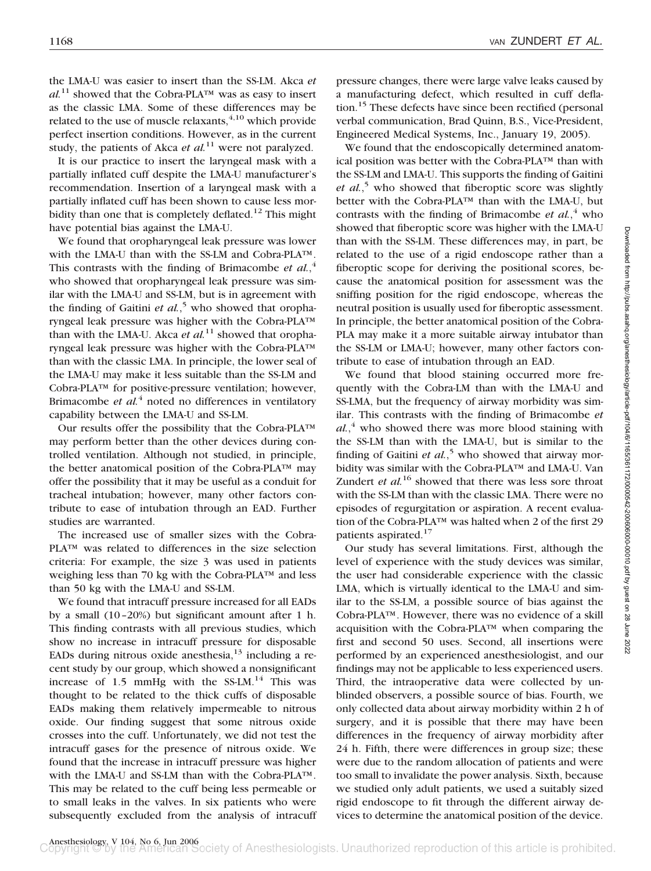the LMA-U was easier to insert than the SS-LM. Akca *et*  $al^{11}$  showed that the Cobra-PLA<sup>TM</sup> was as easy to insert as the classic LMA. Some of these differences may be related to the use of muscle relaxants, $4,10$  which provide perfect insertion conditions. However, as in the current study, the patients of Akca *et al.*<sup>11</sup> were not paralyzed.

It is our practice to insert the laryngeal mask with a partially inflated cuff despite the LMA-U manufacturer's recommendation. Insertion of a laryngeal mask with a partially inflated cuff has been shown to cause less morbidity than one that is completely deflated.<sup>12</sup> This might have potential bias against the LMA-U.

We found that oropharyngeal leak pressure was lower with the LMA-U than with the SS-LM and Cobra-PLA™. This contrasts with the finding of Brimacombe *et al.*, 4 who showed that oropharyngeal leak pressure was similar with the LMA-U and SS-LM, but is in agreement with the finding of Gaitini *et al.*, <sup>5</sup> who showed that oropharyngeal leak pressure was higher with the Cobra-PLA™ than with the LMA-U. Akca *et al.*<sup>11</sup> showed that oropharyngeal leak pressure was higher with the Cobra-PLA™ than with the classic LMA. In principle, the lower seal of the LMA-U may make it less suitable than the SS-LM and Cobra-PLA™ for positive-pressure ventilation; however, Brimacombe *et al.*<sup>4</sup> noted no differences in ventilatory capability between the LMA-U and SS-LM.

Our results offer the possibility that the Cobra-PLA™ may perform better than the other devices during controlled ventilation. Although not studied, in principle, the better anatomical position of the Cobra-PLA™ may offer the possibility that it may be useful as a conduit for tracheal intubation; however, many other factors contribute to ease of intubation through an EAD. Further studies are warranted.

The increased use of smaller sizes with the Cobra-PLA™ was related to differences in the size selection criteria: For example, the size 3 was used in patients weighing less than 70 kg with the Cobra-PLA™ and less than 50 kg with the LMA-U and SS-LM.

We found that intracuff pressure increased for all EADs by a small (10–20%) but significant amount after 1 h. This finding contrasts with all previous studies, which show no increase in intracuff pressure for disposable EADs during nitrous oxide anesthesia,  $13$  including a recent study by our group, which showed a nonsignificant increase of 1.5 mmHg with the  $SS-LM$ <sup>14</sup> This was thought to be related to the thick cuffs of disposable EADs making them relatively impermeable to nitrous oxide. Our finding suggest that some nitrous oxide crosses into the cuff. Unfortunately, we did not test the intracuff gases for the presence of nitrous oxide. We found that the increase in intracuff pressure was higher with the LMA-U and SS-LM than with the Cobra-PLA™. This may be related to the cuff being less permeable or to small leaks in the valves. In six patients who were subsequently excluded from the analysis of intracuff pressure changes, there were large valve leaks caused by a manufacturing defect, which resulted in cuff deflation.<sup>15</sup> These defects have since been rectified (personal verbal communication, Brad Quinn, B.S., Vice-President, Engineered Medical Systems, Inc., January 19, 2005).

We found that the endoscopically determined anatomical position was better with the Cobra-PLA™ than with the SS-LM and LMA-U. This supports the finding of Gaitini *et al.*, <sup>5</sup> who showed that fiberoptic score was slightly better with the Cobra-PLA™ than with the LMA-U, but contrasts with the finding of Brimacombe *et al.*, <sup>4</sup> who showed that fiberoptic score was higher with the LMA-U than with the SS-LM. These differences may, in part, be related to the use of a rigid endoscope rather than a fiberoptic scope for deriving the positional scores, because the anatomical position for assessment was the sniffing position for the rigid endoscope, whereas the neutral position is usually used for fiberoptic assessment. In principle, the better anatomical position of the Cobra-PLA may make it a more suitable airway intubator than the SS-LM or LMA-U; however, many other factors contribute to ease of intubation through an EAD.

We found that blood staining occurred more frequently with the Cobra-LM than with the LMA-U and SS-LMA, but the frequency of airway morbidity was similar. This contrasts with the finding of Brimacombe *et al.*, <sup>4</sup> who showed there was more blood staining with the SS-LM than with the LMA-U, but is similar to the finding of Gaitini *et al.*<sup>5</sup> who showed that airway morbidity was similar with the Cobra-PLA™ and LMA-U. Van Zundert *et al.*<sup>16</sup> showed that there was less sore throat with the SS-LM than with the classic LMA. There were no episodes of regurgitation or aspiration. A recent evaluation of the Cobra-PLA™ was halted when 2 of the first 29 patients aspirated.<sup>17</sup>

Our study has several limitations. First, although the level of experience with the study devices was similar, the user had considerable experience with the classic LMA, which is virtually identical to the LMA-U and similar to the SS-LM, a possible source of bias against the Cobra-PLA™. However, there was no evidence of a skill acquisition with the Cobra-PLA™ when comparing the first and second 50 uses. Second, all insertions were performed by an experienced anesthesiologist, and our findings may not be applicable to less experienced users. Third, the intraoperative data were collected by unblinded observers, a possible source of bias. Fourth, we only collected data about airway morbidity within 2 h of surgery, and it is possible that there may have been differences in the frequency of airway morbidity after 24 h. Fifth, there were differences in group size; these were due to the random allocation of patients and were too small to invalidate the power analysis. Sixth, because we studied only adult patients, we used a suitably sized rigid endoscope to fit through the different airway devices to determine the anatomical position of the device.